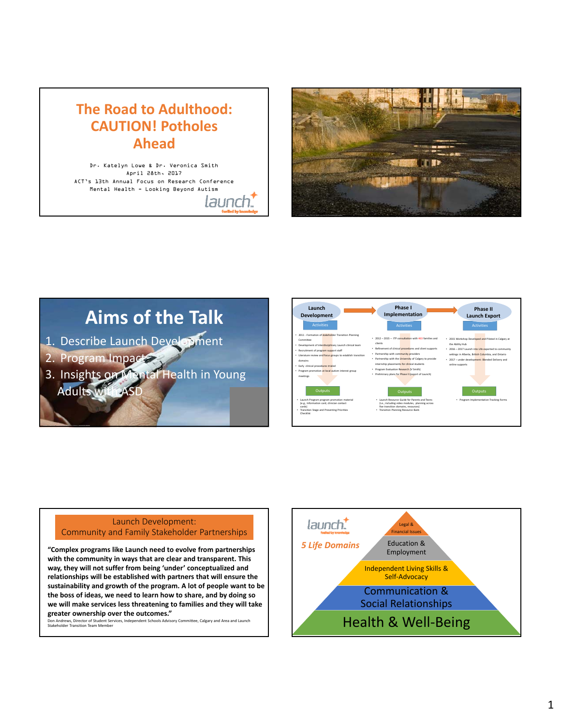## **The Road to Adulthood: CAUTION! Potholes Ahead**

Dr. Katelyn Lowe & Dr. Veronica Smith April 28th, 2017 ACT's 13th Annual Focus on Research Conference Mental Health - Looking Beyond Autism

launch.



## **Aims of the Talk**

- 1. Describe Launch Development
- 2. Program Impact
- 3. Insights on Mental Health in Young Adults w



## Launch Development: Launch Development:<br>Community and Family Stakeholder Partnerships Legal & Launch

**"Complex programs like Launch need to evolve from partnerships with the community in ways that are clear and transparent. This way, they will not suffer from being 'under' conceptualized and relationships will be established with partners that will ensure the sustainability and growth of the program. A lot of people want to be the boss of ideas, we need to learn how to share, and by doing so we will make services less threatening to families and they will take greater ownership over the outcomes."** 

ent Schools Advisory Committee, Calgary and Area and Launch Stakeholder Transition Team Member<br>Stakeholder Transition Team Member

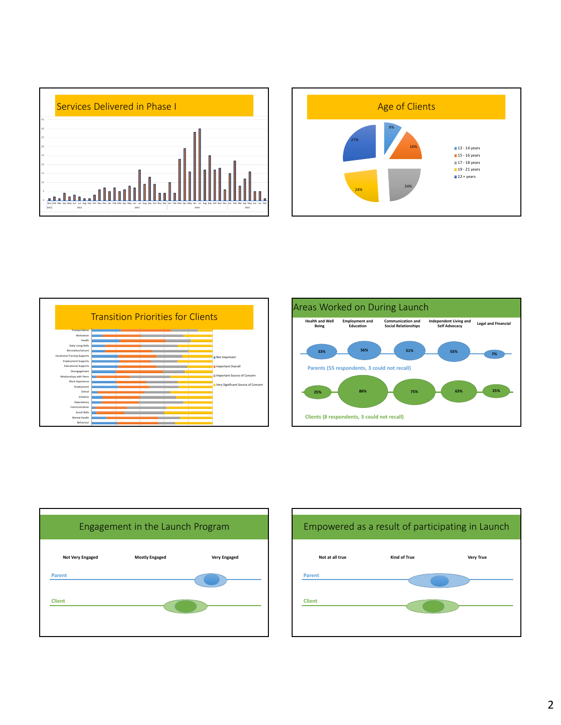









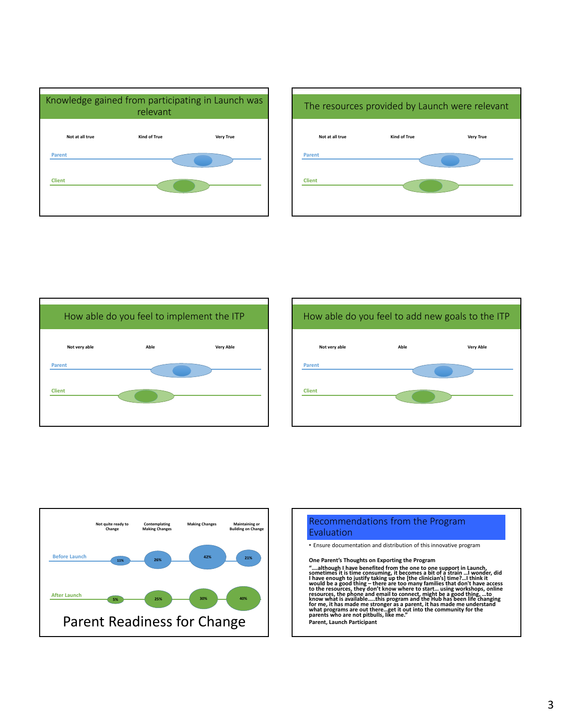











• Ensure documentation and distribution of this innovative program

**One Parent's Thoughts on Exporting the Program**

"....although I have benefited from the one to one support in Launch,<br>sometimes it is time consuming, it becomes a bit of a strain ...I wonder, did<br>I have enough to justify taking up the [the clinician's] time?...I think i would be a good thing – there are too many families that don't have access<br>to the resources, they don't know where to start... using workshops, online<br>resources, the phone and email to connect, might be a good thing, ...to

**Parent, Launch Participant**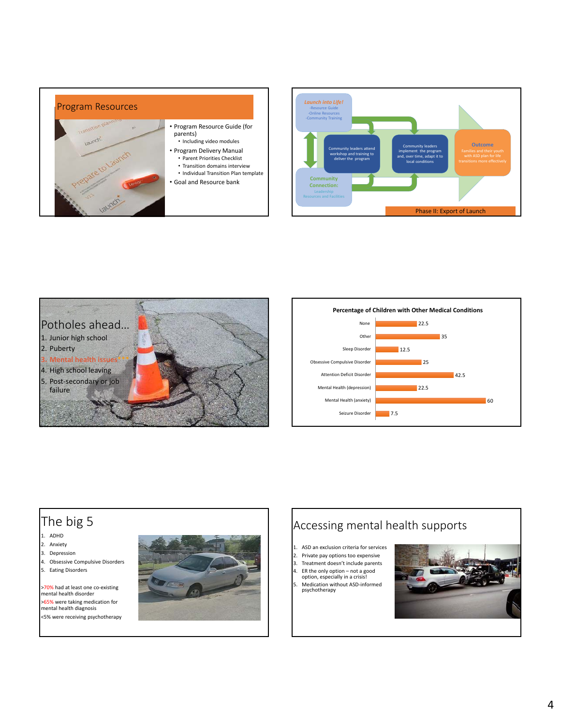





mental health diagnosis <5% were receiving psychotherapy



## The big 5 1. ADHD 2. Anxiety 3. Depression 4. Obsessive Compulsive Disorders 5. Eating Disorders >70% had at least one co-existing mental health disorder >65% were taking medication for Accessing mental health supports 1. ASD an exclusion criteria for services 2. Private pay options too expensive 3. Treatment doesn't include parents 4. ER the only option – not a good option, especially in a crisis! 5. Medication without ASD-informed<br>psychotherapy

4